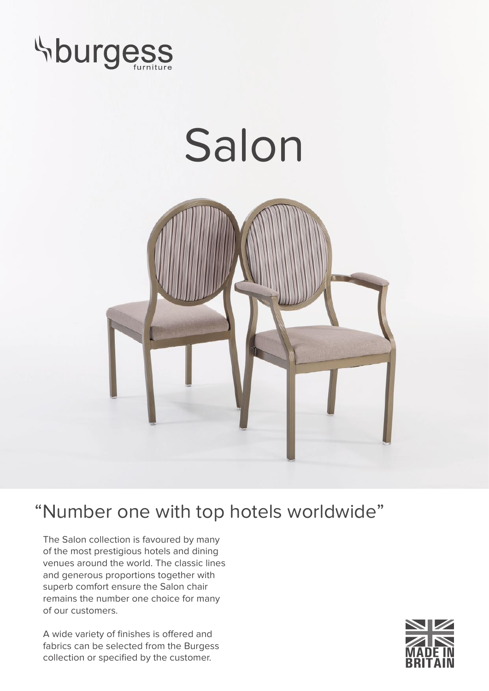

## Salon



## "Number one with top hotels worldwide"

The Salon collection is favoured by many of the most prestigious hotels and dining venues around the world. The classic lines and generous proportions together with superb comfort ensure the Salon chair remains the number one choice for many of our customers.

A wide variety of finishes is offered and fabrics can be selected from the Burgess collection or specified by the customer.